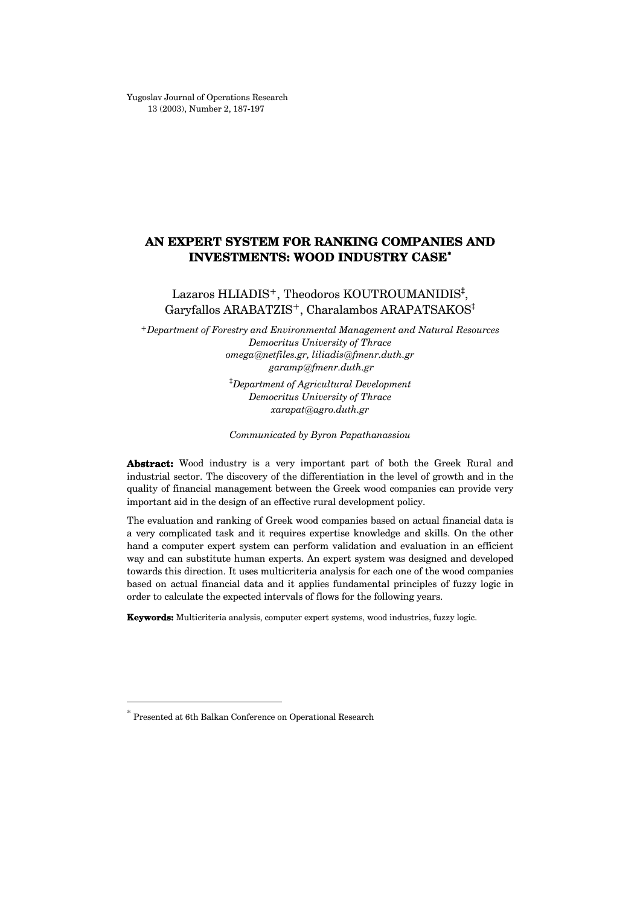Yugoslav Journal of Operations Research 13 (2003), Number 2, 187-197

# AN EXPERT SYSTEM FOR RANKING COMPANIES AND INVESTMENTS: WOOD INDUSTRY CASE[\\*](#page-0-0)

Lazaros HLIADIS<sup>+</sup>, Theodoros KOUTROUMANIDIS<sup>‡</sup>, Garyfallos ARABATZIS+, Charalambos ARAPATSAKOS‡

+Department of Forestry and Environmental Management and Natural Resources Democritus University of Thrace omega@[netfiles.gr](mailto:omega@netfiles.gr), liliadis@fmenr.duth.gr garamp@[fmenr.duth.gr](mailto:garamp@fmenr.duth.gr) ‡ Department of Agricultural Development Democritus University of Thrace

xarapat@[agro.duth.gr](mailto:xarapat@agro.duth.gr)

Communicated by Byron Papathanassiou

Abstract: Wood industry is a very important part of both the Greek Rural and industrial sector. The discovery of the differentiation in the level of growth and in the quality of financial management between the Greek wood companies can provide very important aid in the design of an effective rural development policy.

The evaluation and ranking of Greek wood companies based on actual financial data is a very complicated task and it requires expertise knowledge and skills. On the other hand a computer expert system can perform validation and evaluation in an efficient way and can substitute human experts. An expert system was designed and developed towards this direction. It uses multicriteria analysis for each one of the wood companies based on actual financial data and it applies fundamental principles of fuzzy logic in order to calculate the expected intervals of flows for the following years.

Keywords: Multicriteria analysis, computer expert systems, wood industries, fuzzy logic.

 $\overline{a}$ 

<span id="page-0-0"></span><sup>\*</sup> Presented at 6th Balkan Conference on Operational Research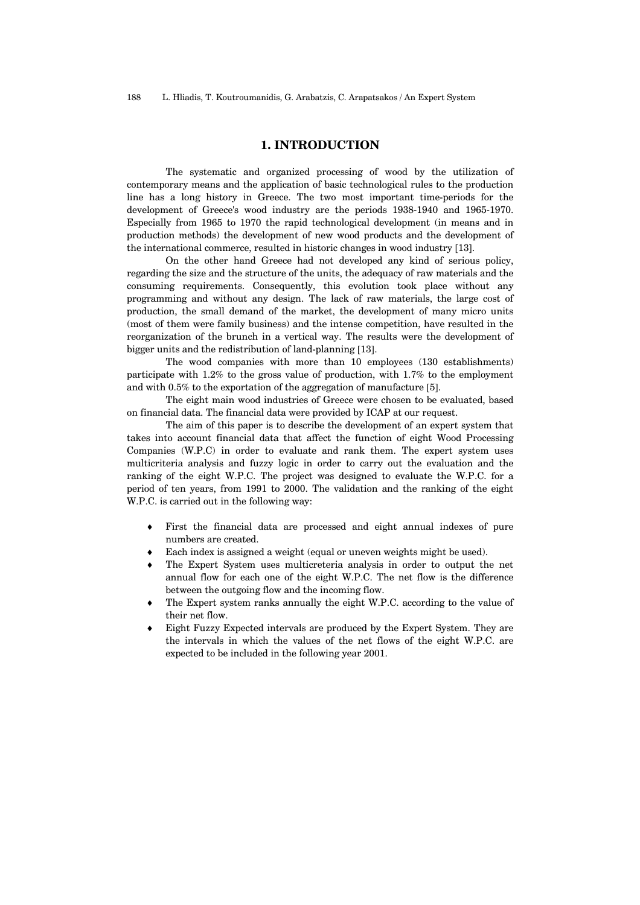### 1. INTRODUCTION

The systematic and organized processing of wood by the utilization of contemporary means and the application of basic technological rules to the production line has a long history in Greece. The two most important time-periods for the development of Greece's wood industry are the periods 1938-1940 and 1965-1970. Especially from 1965 to 1970 the rapid technological development (in means and in production methods) the development of new wood products and the development of the international commerce, resulted in historic changes in wood industry [13].

On the other hand Greece had not developed any kind of serious policy, regarding the size and the structure of the units, the adequacy of raw materials and the consuming requirements. Consequently, this evolution took place without any programming and without any design. The lack of raw materials, the large cost of production, the small demand of the market, the development of many micro units (most of them were family business) and the intense competition, have resulted in the reorganization of the brunch in a vertical way. The results were the development of bigger units and the redistribution of land-planning [13].

The wood companies with more than 10 employees (130 establishments) participate with 1.2% to the gross value of production, with 1.7% to the employment and with 0.5% to the exportation of the aggregation of manufacture [5].

The eight main wood industries of Greece were chosen to be evaluated, based on financial data. The financial data were provided by ICAP at our request.

The aim of this paper is to describe the development of an expert system that takes into account financial data that affect the function of eight Wood Processing Companies (W.P.C) in order to evaluate and rank them. The expert system uses multicriteria analysis and fuzzy logic in order to carry out the evaluation and the ranking of the eight W.P.C. The project was designed to evaluate the W.P.C. for a period of ten years, from 1991 to 2000. The validation and the ranking of the eight W.P.C. is carried out in the following way:

- ♦ First the financial data are processed and eight annual indexes of pure numbers are created.
- Each index is assigned a weight (equal or uneven weights might be used).
- The Expert System uses multicreteria analysis in order to output the net annual flow for each one of the eight W.P.C. The net flow is the difference between the outgoing flow and the incoming flow.
- ♦ The Expert system ranks annually the eight W.P.C. according to the value of their net flow.
- ♦ Eight Fuzzy Expected intervals are produced by the Expert System. They are the intervals in which the values of the net flows of the eight W.P.C. are expected to be included in the following year 2001.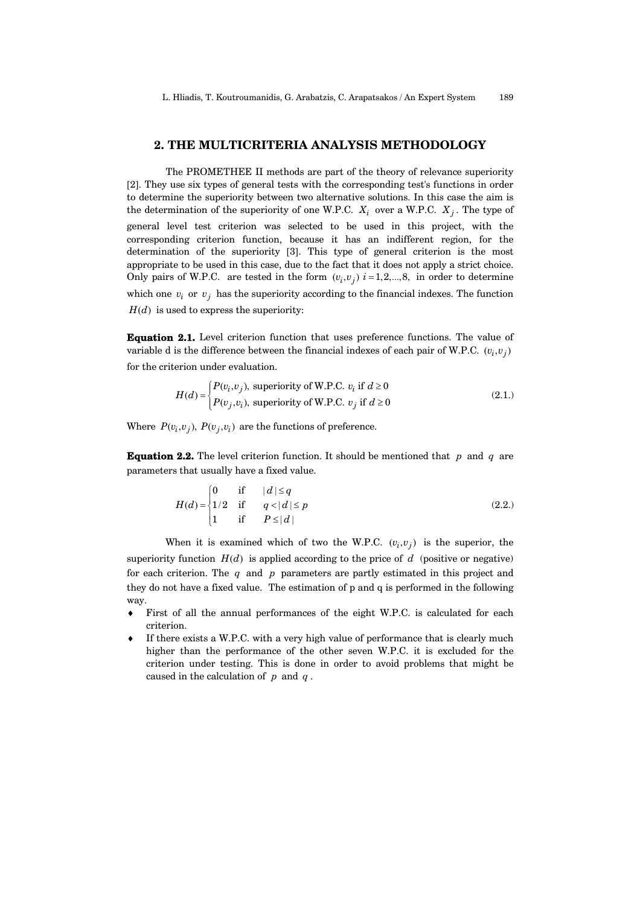#### 2. THE MULTICRITERIA ANALYSIS METHODOLOGY

The PROMETHEE II methods are part of the theory of relevance superiority [2]. They use six types of general tests with the corresponding test's functions in order to determine the superiority between two alternative solutions. In this case the aim is the determination of the superiority of one W.P.C.  $X_i$  over a W.P.C.  $X_j$ . The type of general level test criterion was selected to be used in this project, with the corresponding criterion function, because it has an indifferent region, for the determination of the superiority [3]. This type of general criterion is the most appropriate to be used in this case, due to the fact that it does not apply a strict choice. Only pairs of W.P.C. are tested in the form  $(v_i, v_j)$   $i = 1, 2, ..., 8$ , in order to determine which one  $v_i$  or  $v_j$  has the superiority according to the financial indexes. The function  $H(d)$  is used to express the superiority:

Equation 2.1. Level criterion function that uses preference functions. The value of variable d is the difference between the financial indexes of each pair of W.P.C.  $(v_i, v_j)$ for the criterion under evaluation.

$$
H(d) = \begin{cases} P(v_i, v_j), \text{ superiority of W.P.C. } v_i \text{ if } d \ge 0\\ P(v_j, v_i), \text{ superiority of W.P.C. } v_j \text{ if } d \ge 0 \end{cases}
$$
\n(2.1.)

Where  $P(v_i, v_j)$ ,  $P(v_j, v_i)$  are the functions of preference.

**Equation 2.2.** The level criterion function. It should be mentioned that p and q are parameters that usually have a fixed value.

$$
H(d) = \begin{cases} 0 & \text{if} & |d| \le q \\ 1/2 & \text{if} & q < |d| \le p \\ 1 & \text{if} & P \le |d| \end{cases}
$$
 (2.2.)

When it is examined which of two the W.P.C.  $(v_i, v_j)$  is the superior, the superiority function  $H(d)$  is applied according to the price of  $d$  (positive or negative) for each criterion. The q and p parameters are partly estimated in this project and they do not have a fixed value. The estimation of p and q is performed in the following way.

- ♦ First of all the annual performances of the eight W.P.C. is calculated for each criterion.
- If there exists a W.P.C. with a very high value of performance that is clearly much higher than the performance of the other seven W.P.C. it is excluded for the criterion under testing. This is done in order to avoid problems that might be caused in the calculation of  $p$  and  $q$ .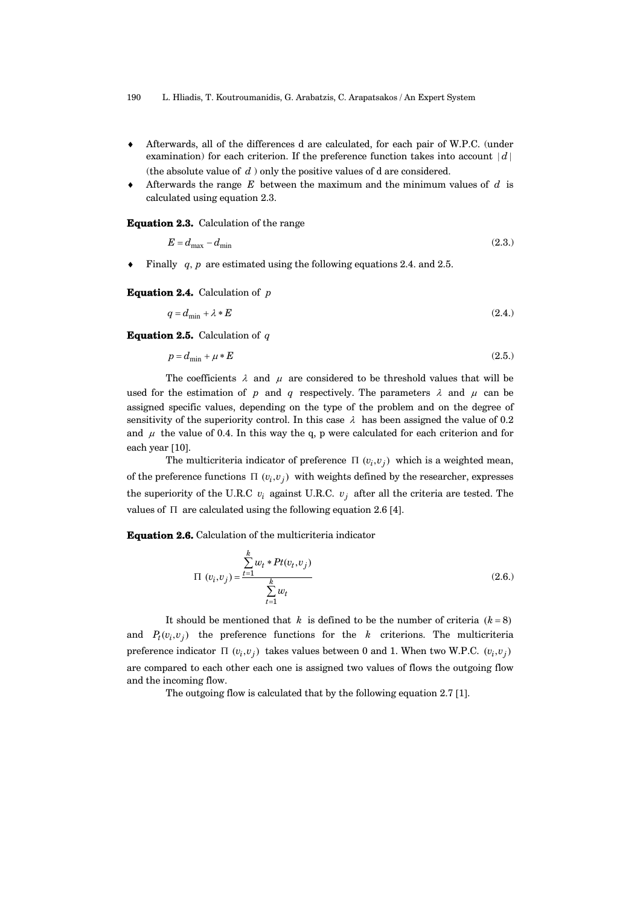190 L. Hliadis, T. Koutroumanidis, G. Arabatzis, C. Arapatsakos / An Expert System

- ♦ Afterwards, all of the differences d are calculated, for each pair of W.P.C. (under examination) for each criterion. If the preference function takes into account  $|d|$ (the absolute value of  $d$ ) only the positive values of d are considered.
- $\bullet$  Afterwards the range E between the maximum and the minimum values of d is calculated using equation 2.3.

Equation 2.3. Calculation of the range

$$
E = d_{\text{max}} - d_{\text{min}} \tag{2.3.}
$$

 $\bullet$  Finally q, p are estimated using the following equations 2.4. and 2.5.

**Equation 2.4.** Calculation of  $p$ 

$$
q = d_{\min} + \lambda * E \tag{2.4.}
$$

**Equation 2.5.** Calculation of  $q$ 

$$
p = d_{\min} + \mu * E \tag{2.5.}
$$

The coefficients  $\lambda$  and  $\mu$  are considered to be threshold values that will be used for the estimation of p and q respectively. The parameters  $\lambda$  and  $\mu$  can be assigned specific values, depending on the type of the problem and on the degree of sensitivity of the superiority control. In this case  $\lambda$  has been assigned the value of 0.2 and  $\mu$  the value of 0.4. In this way the q, p were calculated for each criterion and for each year [10].

The multicriteria indicator of preference  $\Pi(v_i, v_j)$  which is a weighted mean, of the preference functions  $\Pi(v_i, v_j)$  with weights defined by the researcher, expresses the superiority of the U.R.C  $v_i$  against U.R.C.  $v_j$  after all the criteria are tested. The values of  $\Pi$  are calculated using the following equation 2.6 [4].

Equation 2.6. Calculation of the multicriteria indicator

$$
\Pi (v_i, v_j) = \frac{\sum_{t=1}^{k} w_t * Pt(v_t, v_j)}{\sum_{t=1}^{k} w_t}
$$
\n(2.6.)

It should be mentioned that k is defined to be the number of criteria  $(k=8)$ and  $P_t(v_i, v_j)$  the preference functions for the k criterions. The multicriteria preference indicator  $\Pi(v_i, v_j)$  takes values between 0 and 1. When two W.P.C.  $(v_i, v_j)$ are compared to each other each one is assigned two values of flows the outgoing flow and the incoming flow.

The outgoing flow is calculated that by the following equation 2.7 [1].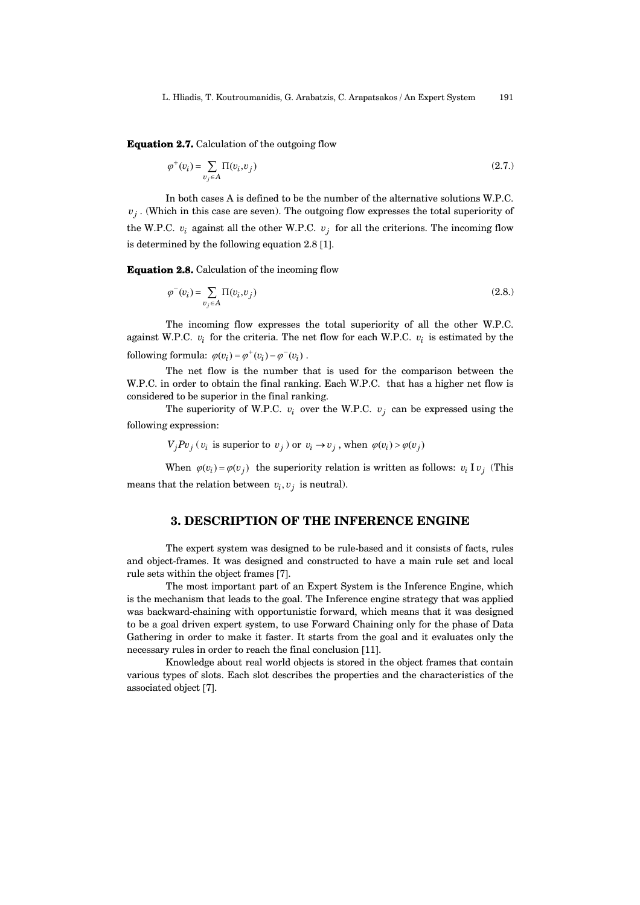Equation 2.7. Calculation of the outgoing flow

$$
\varphi^+(v_i) = \sum_{v_j \in A} \Pi(v_i, v_j) \tag{2.7.}
$$

In both cases A is defined to be the number of the alternative solutions W.P.C.  $v_j$ . (Which in this case are seven). The outgoing flow expresses the total superiority of the W.P.C.  $v_i$  against all the other W.P.C.  $v_j$  for all the criterions. The incoming flow is determined by the following equation 2.8 [1].

Equation 2.8. Calculation of the incoming flow

$$
\varphi^-(v_i) = \sum_{v_j \in A} \Pi(v_i, v_j) \tag{2.8.}
$$

following formula:  $\varphi(v_i) = \varphi^+(v_i) - \varphi^-(v_i)$ . The incoming flow expresses the total superiority of all the other W.P.C. against W.P.C.  $v_i$  for the criteria. The net flow for each W.P.C.  $v_i$  is estimated by the

The net flow is the number that is used for the comparison between the W.P.C. in order to obtain the final ranking. Each W.P.C. that has a higher net flow is considered to be superior in the final ranking.

The superiority of W.P.C.  $v_i$  over the W.P.C.  $v_j$  can be expressed using the following expression:

 $V_j P v_j$  ( $v_i$  is superior to  $v_j$ ) or  $v_i \rightarrow v_j$ , when  $\varphi(v_i) > \varphi(v_j)$ 

When  $\varphi(v_i) = \varphi(v_j)$  the superiority relation is written as follows:  $v_i I v_j$  (This means that the relation between  $v_i, v_j$  is neutral).

## 3. DESCRIPTION OF THE INFERENCE ENGINE

The expert system was designed to be rule-based and it consists of facts, rules and object-frames. It was designed and constructed to have a main rule set and local rule sets within the object frames [7].

The most important part of an Expert System is the Inference Engine, which is the mechanism that leads to the goal. The Inference engine strategy that was applied was backward-chaining with opportunistic forward, which means that it was designed to be a goal driven expert system, to use Forward Chaining only for the phase of Data Gathering in order to make it faster. It starts from the goal and it evaluates only the necessary rules in order to reach the final conclusion [11].

Knowledge about real world objects is stored in the object frames that contain various types of slots. Each slot describes the properties and the characteristics of the associated object [7].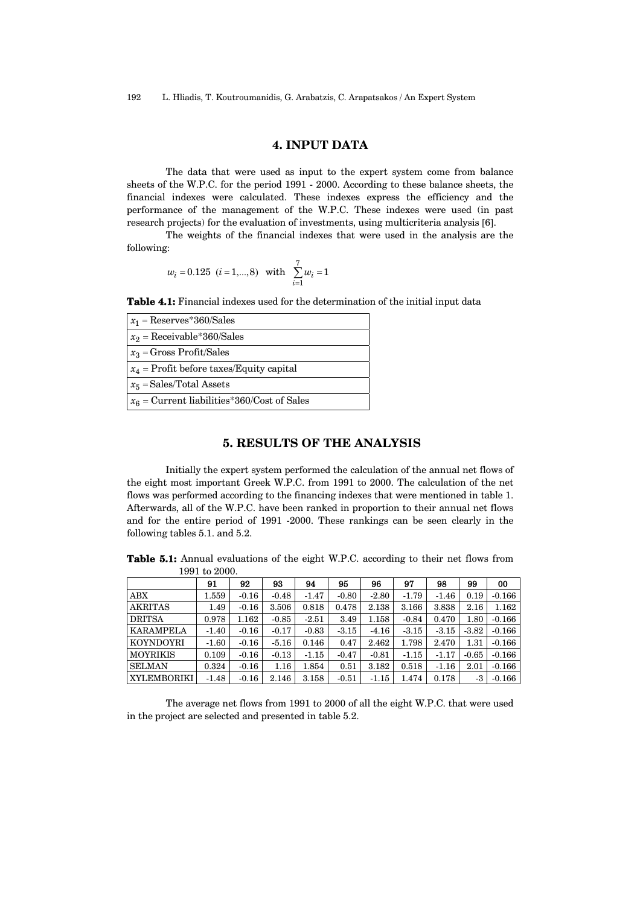# 4. INPUT DATA

The data that were used as input to the expert system come from balance sheets of the W.P.C. for the period 1991 - 2000. According to these balance sheets, the financial indexes were calculated. These indexes express the efficiency and the performance of the management of the W.P.C. These indexes were used (in past research projects) for the evaluation of investments, using multicriteria analysis [6].

The weights of the financial indexes that were used in the analysis are the following:

$$
w_i = 0.125
$$
  $(i = 1,...,8)$  with  $\sum_{i=1}^{7} w_i = 1$ 

Table 4.1: Financial indexes used for the determination of the initial input data

| $x_1 = \text{Reserves*}360/\text{Sales}$      |
|-----------------------------------------------|
| $x_2$ = Receivable*360/Sales                  |
| $x_3$ = Gross Profit/Sales                    |
| $x_4$ = Profit before taxes/Equity capital    |
| $x_5$ = Sales/Total Assets                    |
| $x_6$ = Current liabilities*360/Cost of Sales |

# 5. RESULTS OF THE ANALYSIS

Initially the expert system performed the calculation of the annual net flows of the eight most important Greek W.P.C. from 1991 to 2000. The calculation of the net flows was performed according to the financing indexes that were mentioned in table 1. Afterwards, all of the W.P.C. have been ranked in proportion to their annual net flows and for the entire period of 1991 -2000. These rankings can be seen clearly in the following tables 5.1. and 5.2.

Table 5.1: Annual evaluations of the eight W.P.C. according to their net flows from 1991 to 2000.

|                  | 91      | 92      | 93      | 94      | 95      | 96      | 97      | 98      | 99      | 00       |
|------------------|---------|---------|---------|---------|---------|---------|---------|---------|---------|----------|
| ${\rm ABX}$      | 1.559   | $-0.16$ | $-0.48$ | $-1.47$ | $-0.80$ | $-2.80$ | $-1.79$ | $-1.46$ | 0.19    | $-0.166$ |
| <b>AKRITAS</b>   | 1.49    | $-0.16$ | 3.506   | 0.818   | 0.478   | 2.138   | 3.166   | 3.838   | 2.16    | 1.162    |
| <b>DRITSA</b>    | 0.978   | 1.162   | $-0.85$ | $-2.51$ | 3.49    | 1.158   | $-0.84$ | 0.470   | 1.80    | $-0.166$ |
| <b>KARAMPELA</b> | $-1.40$ | $-0.16$ | $-0.17$ | $-0.83$ | $-3.15$ | $-4.16$ | $-3.15$ | $-3.15$ | $-3.82$ | $-0.166$ |
| <b>KOYNDOYRI</b> | $-1.60$ | $-0.16$ | $-5.16$ | 0.146   | 0.47    | 2.462   | 1.798   | 2.470   | 1.31    | $-0.166$ |
| <b>MOYRIKIS</b>  | 0.109   | $-0.16$ | $-0.13$ | $-1.15$ | $-0.47$ | $-0.81$ | $-1.15$ | $-1.17$ | $-0.65$ | $-0.166$ |
| <b>SELMAN</b>    | 0.324   | $-0.16$ | 1.16    | 1.854   | 0.51    | 3.182   | 0.518   | $-1.16$ | 2.01    | $-0.166$ |
| XYLEMBORIKI      | $-1.48$ | $-0.16$ | 2.146   | 3.158   | $-0.51$ | $-1.15$ | 1.474   | 0.178   | -3      | $-0.166$ |

The average net flows from 1991 to 2000 of all the eight W.P.C. that were used in the project are selected and presented in table 5.2.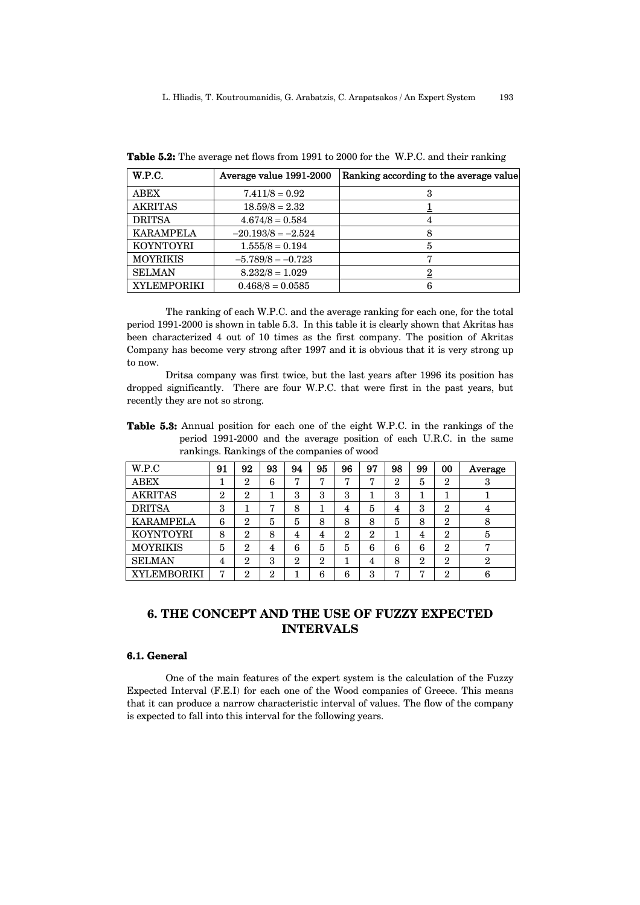| W.P.C.             | Average value 1991-2000 | Ranking according to the average value |
|--------------------|-------------------------|----------------------------------------|
| <b>ABEX</b>        | $7.411/8 = 0.92$        |                                        |
| <b>AKRITAS</b>     | $18.59/8 = 2.32$        |                                        |
| <b>DRITSA</b>      | $4.674/8 = 0.584$       |                                        |
| <b>KARAMPELA</b>   | $-20.193/8 = -2.524$    |                                        |
| <b>KOYNTOYRI</b>   | $1.555/8 = 0.194$       | 5                                      |
| <b>MOYRIKIS</b>    | $-5.789/8 = -0.723$     |                                        |
| <b>SELMAN</b>      | $8.232/8 = 1.029$       |                                        |
| <b>XYLEMPORIKI</b> | $0.468/8 = 0.0585$      |                                        |

Table 5.2: The average net flows from 1991 to 2000 for the W.P.C. and their ranking

The ranking of each W.P.C. and the average ranking for each one, for the total period 1991-2000 is shown in table 5.3. In this table it is clearly shown that Akritas has been characterized 4 out of 10 times as the first company. The position of Akritas Company has become very strong after 1997 and it is obvious that it is very strong up to now.

Dritsa company was first twice, but the last years after 1996 its position has dropped significantly. There are four W.P.C. that were first in the past years, but recently they are not so strong.

Table 5.3: Annual position for each one of the eight W.P.C. in the rankings of the period 1991-2000 and the average position of each U.R.C. in the same rankings. Rankings of the companies of wood

| W.P.C              | 91             | 92             | 93 | 94             | 95             | 96             | 97             | 98             | 99             | 00             | Average        |
|--------------------|----------------|----------------|----|----------------|----------------|----------------|----------------|----------------|----------------|----------------|----------------|
| ABEX               |                | $\overline{2}$ | 6  | ┍              | ┍              |                | ┍              | $\overline{2}$ | 5              | $\overline{2}$ | 3              |
| <b>AKRITAS</b>     | $\overline{2}$ | $\overline{2}$ |    | 3              | 3              | 3              | л.             | 3              |                |                |                |
| <b>DRITSA</b>      | 3              |                | 7  | 8              |                | 4              | 5              | 4              | 3              | $\mathbf 2$    | 4              |
| <b>KARAMPELA</b>   | 6              | $\overline{2}$ | 5  | 5              | 8              | 8              | 8              | 5              | 8              | $\overline{2}$ | 8              |
| <b>KOYNTOYRI</b>   | 8              | $\overline{2}$ | 8  | 4              | 4              | $\overline{2}$ | $\overline{2}$ |                | 4              | $\overline{2}$ | 5              |
| <b>MOYRIKIS</b>    | 5              | $\overline{2}$ | 4  | 6              | 5              | 5              | 6              | 6              | 6              | $\overline{2}$ |                |
| <b>SELMAN</b>      | 4              | $\overline{2}$ | 3  | $\overline{2}$ | $\overline{2}$ |                | 4              | 8              | $\overline{2}$ | $\overline{2}$ | $\overline{2}$ |
| <b>XYLEMBORIKI</b> | 7              | $\overline{2}$ | 2  |                | 6              | 6              | 3              | ,              | ┍              | $\overline{2}$ | 6              |

# 6. THE CONCEPT AND THE USE OF FUZZY EXPECTED INTERVALS

## 6.1. General

One of the main features of the expert system is the calculation of the Fuzzy Expected Interval (F.E.I) for each one of the Wood companies of Greece. This means that it can produce a narrow characteristic interval of values. The flow of the company is expected to fall into this interval for the following years.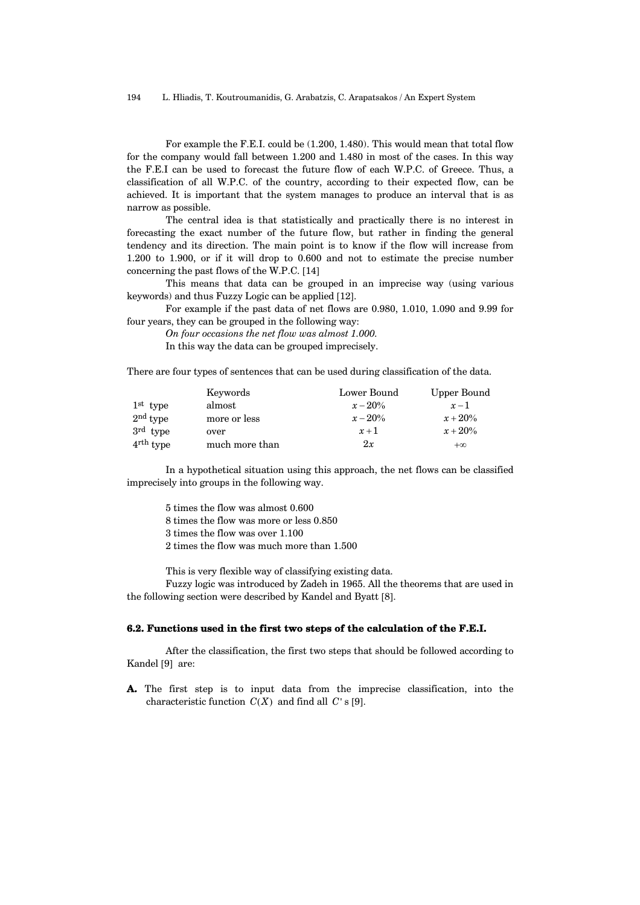For example the F.E.I. could be (1.200, 1.480). This would mean that total flow for the company would fall between 1.200 and 1.480 in most of the cases. In this way the F.E.I can be used to forecast the future flow of each W.P.C. of Greece. Thus, a classification of all W.P.C. of the country, according to their expected flow, can be achieved. It is important that the system manages to produce an interval that is as narrow as possible.

The central idea is that statistically and practically there is no interest in forecasting the exact number of the future flow, but rather in finding the general tendency and its direction. The main point is to know if the flow will increase from 1.200 to 1.900, or if it will drop to 0.600 and not to estimate the precise number concerning the past flows of the W.P.C. [14]

This means that data can be grouped in an imprecise way (using various keywords) and thus Fuzzy Logic can be applied [12].

For example if the past data of net flows are 0.980, 1.010, 1.090 and 9.99 for four years, they can be grouped in the following way:

On four occasions the net flow was almost 1.000.

In this way the data can be grouped imprecisely.

There are four types of sentences that can be used during classification of the data.

|                       | Keywords       | Lower Bound | Upper Bound |
|-----------------------|----------------|-------------|-------------|
| $1st$ type            | almost         | $x - 20\%$  | $x-1$       |
| $2nd$ type            | more or less   | $x - 20\%$  | $x + 20\%$  |
| $3rd$ type            | over           | $x+1$       | $x + 20\%$  |
| $4^{\text{rth}}$ type | much more than | 2x          | $+\infty$   |

In a hypothetical situation using this approach, the net flows can be classified imprecisely into groups in the following way.

5 times the flow was almost 0.600

8 times the flow was more or less 0.850

3 times the flow was over 1.100

2 times the flow was much more than 1.500

This is very flexible way of classifying existing data.

Fuzzy logic was introduced by Zadeh in 1965. All the theorems that are used in the following section were described by Kandel and Byatt [8].

#### 6.2. Functions used in the first two steps of the calculation of the F.E.I.

After the classification, the first two steps that should be followed according to Kandel [9] are:

A. The first step is to input data from the imprecise classification, into the characteristic function  $C(X)$  and find all C' s [9].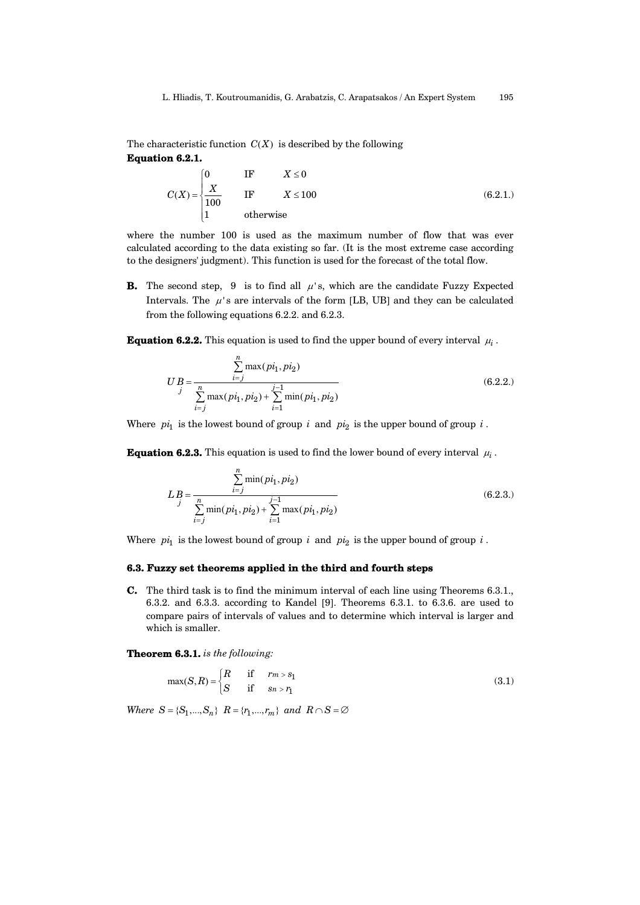The characteristic function  $C(X)$  is described by the following

Equation 6.2.1.

$$
C(X) = \begin{cases} 0 & \text{IF} & X \le 0 \\ \frac{X}{100} & \text{IF} & X \le 100 \\ 1 & \text{otherwise} \end{cases}
$$
 (6.2.1.)

where the number 100 is used as the maximum number of flow that was ever calculated according to the data existing so far. (It is the most extreme case according to the designers' judgment). This function is used for the forecast of the total flow.

**B.** The second step, 9 is to find all  $\mu$ 's, which are the candidate Fuzzy Expected Intervals. The  $\mu$ 's are intervals of the form [LB, UB] and they can be calculated from the following equations 6.2.2. and 6.2.3.

**Equation 6.2.2.** This equation is used to find the upper bound of every interval  $\mu_i$ .

$$
UB = \frac{\sum_{i=j}^{n} \max(p_i, pi_2)}{\sum_{i=j}^{n} \max(p_i, pi_2) + \sum_{i=1}^{j-1} \min(p_i, pi_2)}
$$
(6.2.2.)

Where  $pi_1$  is the lowest bound of group i and  $pi_2$  is the upper bound of group i.

**Equation 6.2.3.** This equation is used to find the lower bound of every interval  $\mu_i$ .

$$
LB = \frac{\sum_{i=j}^{n} \min(p_i, p_i)}{\sum_{i=j}^{n} \min(p_i, p_i) + \sum_{i=1}^{j-1} \max(p_i, p_i)} \tag{6.2.3.}
$$

Where  $pi_1$  is the lowest bound of group i and  $pi_2$  is the upper bound of group i.

#### 6.3. Fuzzy set theorems applied in the third and fourth steps

C. The third task is to find the minimum interval of each line using Theorems 6.3.1., 6.3.2. and 6.3.3. according to Kandel [9]. Theorems 6.3.1. to 6.3.6. are used to compare pairs of intervals of values and to determine which interval is larger and which is smaller.

Theorem 6.3.1. is the following:

$$
\max(S, R) = \begin{cases} R & \text{if } r \le s_1 \\ S & \text{if } s \ge r_1 \end{cases}
$$
 (3.1)

Where  $S = \{S_1, ..., S_n\}$   $R = \{r_1, ..., r_m\}$  and  $R \cap S = \emptyset$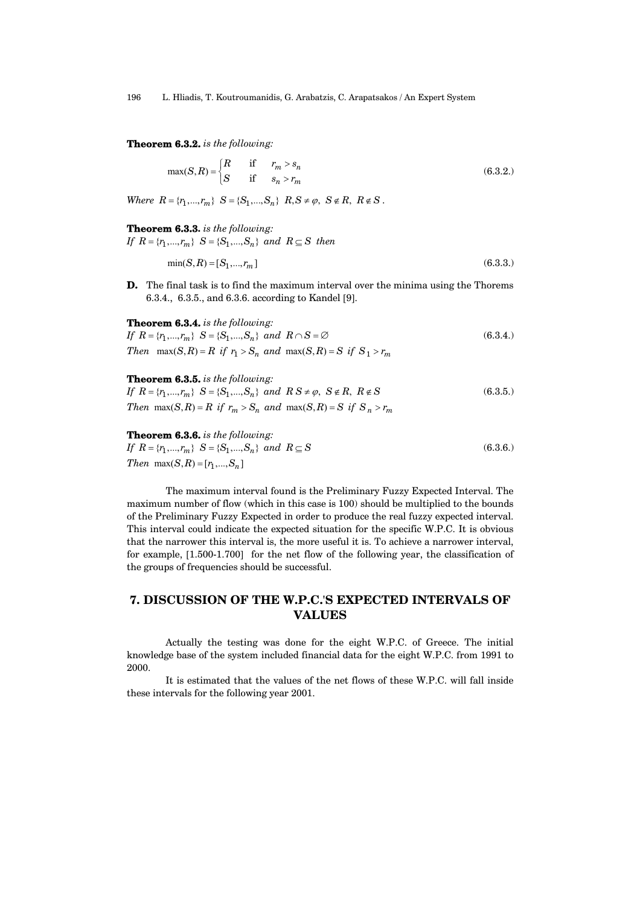196 L. Hliadis, T. Koutroumanidis, G. Arabatzis, C. Arapatsakos / An Expert System

**Theorem 6.3.2.** is the following:

$$
\max(S,R) = \begin{cases} R & \text{if } r_m > s_n \\ S & \text{if } s_n > r_m \end{cases} \tag{6.3.2.}
$$

Where  $R = \{r_1, ..., r_m\}$   $S = \{S_1, ..., S_n\}$   $R, S \neq \emptyset$ ,  $S \notin R$ ,  $R \notin S$ .

Theorem 6.3.3. is the following: If  $R = \{r_1, ..., r_m\}$   $S = \{S_1, ..., S_n\}$  and  $R \subseteq S$  then

$$
\min(S, R) = [S_1, ..., r_m]
$$
\n(6.3.3.)

D. The final task is to find the maximum interval over the minima using the Thorems 6.3.4., 6.3.5., and 6.3.6. according to Kandel [9].

Theorem 6.3.4. is the following: If  $R = {r_1, ..., r_m}$   $S = {S_1, ..., S_n}$  and  $R \cap S = \emptyset$  (6.3.4.) Then  $\max(S, R) = R$  if  $r_1 > S_n$  and  $\max(S, R) = S$  if  $S_1 > r_m$ 

### Theorem 6.3.5. is the following:

If  $R = \{r_1, ..., r_m\}$   $S = \{S_1, ..., S_n\}$  and  $RS \neq \emptyset$ ,  $S \notin R$ ,  $R \notin S$  (6.3.5.) Then max $(S, R) = R$  if  $r_m > S_n$  and max $(S, R) = S$  if  $S_n > r_m$ 

#### Theorem 6.3.6. is the following:

If  $R = \{r_1, ..., r_m\}$   $S = \{S_1, ..., S_n\}$  and  $R \subseteq S$  (6.3.6.) Then  $max(S, R) = [r_1, ..., S_n]$ 

The maximum interval found is the Preliminary Fuzzy Expected Interval. The maximum number of flow (which in this case is 100) should be multiplied to the bounds of the Preliminary Fuzzy Expected in order to produce the real fuzzy expected interval. This interval could indicate the expected situation for the specific W.P.C. It is obvious that the narrower this interval is, the more useful it is. To achieve a narrower interval, for example, [1.500-1.700] for the net flow of the following year, the classification of the groups of frequencies should be successful.

# 7. DISCUSSION OF THE W.P.C.'S EXPECTED INTERVALS OF VALUES

Actually the testing was done for the eight W.P.C. of Greece. The initial knowledge base of the system included financial data for the eight W.P.C. from 1991 to 2000.

It is estimated that the values of the net flows of these W.P.C. will fall inside these intervals for the following year 2001.